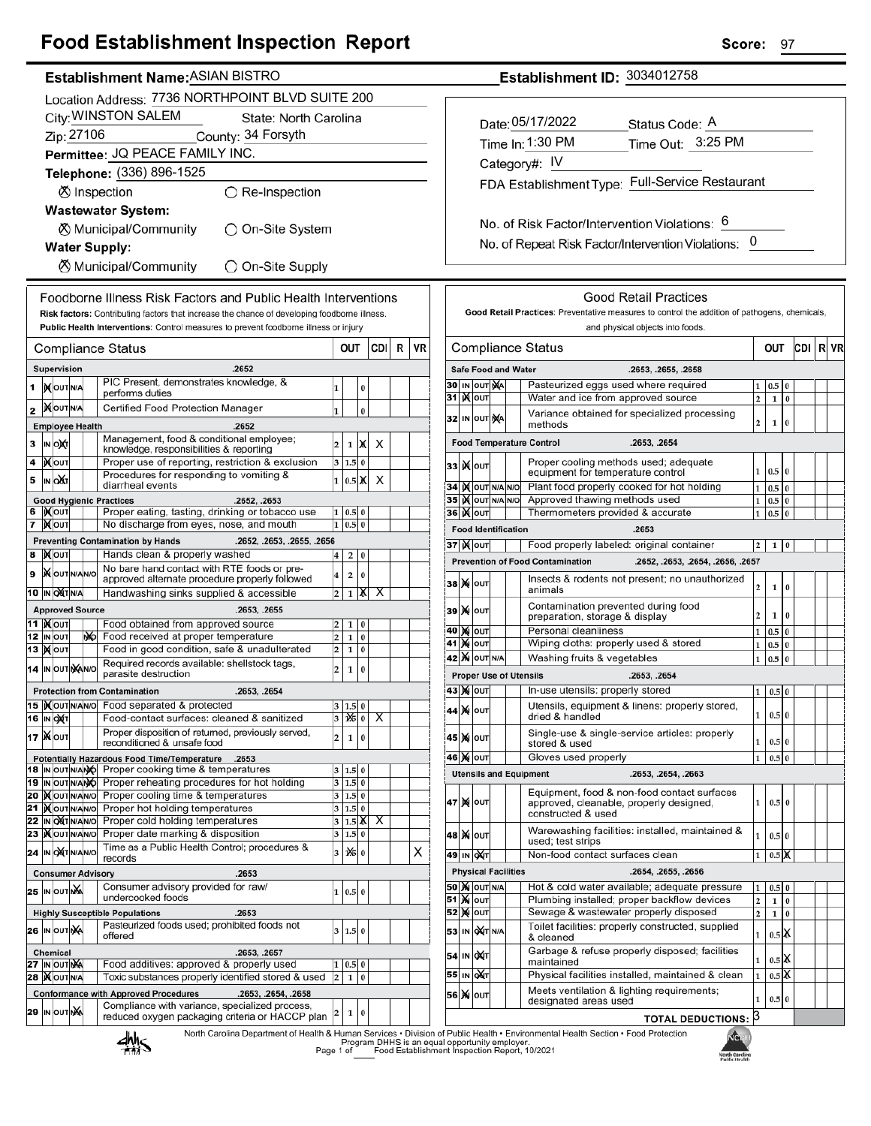## **Food Establishment Inspection Report**

### Establishment Name: ASIAN BISTRO

|                                                                                              | Location Address: 7736 NORTHPOINT BLVD SUITE 200                                            |                                                |  |    |                                                                                                            |                         |                           |               |     |   |    |  |  |  |
|----------------------------------------------------------------------------------------------|---------------------------------------------------------------------------------------------|------------------------------------------------|--|----|------------------------------------------------------------------------------------------------------------|-------------------------|---------------------------|---------------|-----|---|----|--|--|--|
|                                                                                              | City: WINSTON SALEM<br>State: North Carolina                                                |                                                |  |    |                                                                                                            |                         |                           |               |     |   |    |  |  |  |
|                                                                                              | Zip: 27106<br>County: 34 Forsyth                                                            |                                                |  |    |                                                                                                            |                         |                           |               |     |   |    |  |  |  |
|                                                                                              | Permittee: JQ PEACE FAMILY INC.                                                             |                                                |  |    |                                                                                                            |                         |                           |               |     |   |    |  |  |  |
|                                                                                              | Telephone: (336) 896-1525                                                                   |                                                |  |    |                                                                                                            |                         |                           |               |     |   |    |  |  |  |
|                                                                                              | <b>Ø</b> Inspection<br>$\bigcirc$ Re-Inspection                                             |                                                |  |    |                                                                                                            |                         |                           |               |     |   |    |  |  |  |
|                                                                                              |                                                                                             |                                                |  |    | <b>Wastewater System:</b>                                                                                  |                         |                           |               |     |   |    |  |  |  |
|                                                                                              | ⊗ Municipal/Community<br>◯ On-Site System<br><b>Water Supply:</b>                           |                                                |  |    |                                                                                                            |                         |                           |               |     |   |    |  |  |  |
|                                                                                              |                                                                                             |                                                |  |    |                                                                                                            |                         |                           |               |     |   |    |  |  |  |
|                                                                                              |                                                                                             |                                                |  |    | <b>8</b> Municipal/Community<br>$\bigcirc$ On-Site Supply                                                  |                         |                           |               |     |   |    |  |  |  |
|                                                                                              | Foodborne Illness Risk Factors and Public Health Interventions                              |                                                |  |    |                                                                                                            |                         |                           |               |     |   |    |  |  |  |
| Risk factors: Contributing factors that increase the chance of developing foodborne illness. |                                                                                             |                                                |  |    |                                                                                                            |                         |                           |               |     |   |    |  |  |  |
|                                                                                              | <b>Public Health Interventions:</b> Control measures to prevent foodborne illness or injury |                                                |  |    |                                                                                                            |                         |                           |               |     |   |    |  |  |  |
|                                                                                              |                                                                                             |                                                |  |    | Compliance Status                                                                                          |                         | OUT                       |               | CDI | R | VR |  |  |  |
|                                                                                              |                                                                                             | Supervision                                    |  |    | .2652                                                                                                      |                         |                           |               |     |   |    |  |  |  |
| 1                                                                                            |                                                                                             | IM OUT N/A                                     |  |    | PIC Present, demonstrates knowledge, &<br>performs duties                                                  | 1                       |                           | 0             |     |   |    |  |  |  |
| 2                                                                                            |                                                                                             | <b>MOUTNA</b>                                  |  |    | Certified Food Protection Manager                                                                          | 1                       |                           | $\bf{0}$      |     |   |    |  |  |  |
|                                                                                              |                                                                                             | <b>Employee Health</b>                         |  |    | .2652                                                                                                      |                         |                           |               |     |   |    |  |  |  |
| 3                                                                                            |                                                                                             | <b>IN OXT</b>                                  |  |    | Management, food & conditional employee;<br>knowledge, responsibilities & reporting                        | 2                       | 1                         | х             | х   |   |    |  |  |  |
| 4                                                                                            |                                                                                             | <b>KOUT</b>                                    |  |    | Proper use of reporting, restriction & exclusion                                                           | 3                       | 1.5                       | 0             |     |   |    |  |  |  |
| 5                                                                                            |                                                                                             | IN OAT                                         |  |    | Procedures for responding to vomiting &<br>diarrheal events                                                | 1                       | $0.5\vert\mathbb{X}\vert$ |               | х   |   |    |  |  |  |
| 6                                                                                            |                                                                                             | IXOUT                                          |  |    | .2652, .2653<br><b>Good Hygienic Practices</b>                                                             |                         |                           |               |     |   |    |  |  |  |
| 7                                                                                            |                                                                                             | <b>X</b> OUT                                   |  |    | Proper eating, tasting, drinking or tobacco use<br>No discharge from eyes, nose, and mouth                 | 1<br>1                  | 0.5<br>0.5                | 0<br>$\bf{0}$ |     |   |    |  |  |  |
|                                                                                              |                                                                                             |                                                |  |    | .2652, .2653, .2655, .2656<br><b>Preventing Contamination by Hands</b>                                     |                         |                           |               |     |   |    |  |  |  |
|                                                                                              |                                                                                             | 8  )х ∣о∪т                                     |  |    | Hands clean & properly washed<br>No bare hand contact with RTE foods or pre-                               | 4                       | 2                         | 0             |     |   |    |  |  |  |
| 9                                                                                            |                                                                                             | <b>X</b> OUTNANO                               |  |    | approved alternate procedure properly followed                                                             | 4                       | 2                         | 0             |     |   |    |  |  |  |
|                                                                                              |                                                                                             | 10  IN OXT N/A                                 |  |    | Handwashing sinks supplied & accessible                                                                    | 2                       | 1                         | х             | х   |   |    |  |  |  |
|                                                                                              |                                                                                             | <b>Approved Source</b><br>11  ) <b>χ</b>   ουτ |  |    | .2653, .2655<br>Food obtained from approved source                                                         | 2                       | 1                         | 0             |     |   |    |  |  |  |
|                                                                                              |                                                                                             | 12 IN OUT                                      |  | ŴО | Food received at proper temperature                                                                        | 2                       | $\mathbf{1}$              | 0             |     |   |    |  |  |  |
|                                                                                              |                                                                                             | 13 <b>MOUT</b>                                 |  |    | Food in good condition, safe & unadulterated                                                               | 2                       | 1                         | 0             |     |   |    |  |  |  |
|                                                                                              |                                                                                             | 14 IN OUTINAN/O                                |  |    | Required records available: shellstock tags,<br>parasite destruction                                       | 2                       | 1                         | $\bf{0}$      |     |   |    |  |  |  |
|                                                                                              |                                                                                             |                                                |  |    | <b>Protection from Contamination</b><br>.2653, .2654                                                       |                         |                           |               |     |   |    |  |  |  |
|                                                                                              |                                                                                             | <b>16 IN OXT</b>                               |  |    | 15  Xoutin/Alvol Food separated & protected<br>Food-contact surfaces: cleaned & sanitized                  |                         | 1.5<br>$3 \mathbf{16} 0$  |               | х   |   |    |  |  |  |
|                                                                                              |                                                                                             | 17   Ж   оuт                                   |  |    | Proper disposition of returned, previously served,                                                         | 2                       | 1                         | $\pmb{0}$     |     |   |    |  |  |  |
|                                                                                              |                                                                                             |                                                |  |    | reconditioned & unsafe food                                                                                |                         |                           |               |     |   |    |  |  |  |
|                                                                                              |                                                                                             |                                                |  |    | Potentially Hazardous Food Time/Temperature<br>.2653<br>18 IN OUT N/ANO Proper cooking time & temperatures |                         | 3   1.5   0               |               |     |   |    |  |  |  |
|                                                                                              |                                                                                             | 19 IN OUT N/ANO                                |  |    | Proper reheating procedures for hot holding<br>Proper cooling time & temperatures                          | 3<br>3                  | 1.5 0                     |               |     |   |    |  |  |  |
| 21                                                                                           |                                                                                             | 20  )(OUTN/AN/O<br><b>XOUTNANO</b>             |  |    | Proper hot holding temperatures                                                                            | 3                       | 1.5 0<br>1.5 0            |               |     |   |    |  |  |  |
|                                                                                              |                                                                                             | 22 IN OXTNANO<br>23   OUTNANO                  |  |    | Proper cold holding temperatures<br>Proper date marking & disposition                                      | 3                       | $1.5\vert\text{X}$        |               | х   |   |    |  |  |  |
|                                                                                              |                                                                                             |                                                |  |    | Time as a Public Health Control; procedures &                                                              | 3                       | 1.5 0                     |               |     |   |    |  |  |  |
|                                                                                              |                                                                                             | <b>24 IN OXT NANO</b>                          |  |    | records                                                                                                    | 3                       | 说                         | $\bf{0}$      |     |   | X. |  |  |  |
|                                                                                              |                                                                                             | <b>25 IN OUT NA</b>                            |  |    | .2653<br><b>Consumer Advisory</b><br>Consumer advisory provided for raw/                                   |                         |                           |               |     |   |    |  |  |  |
|                                                                                              |                                                                                             |                                                |  |    | undercooked foods                                                                                          |                         | 1   0.5   0               |               |     |   |    |  |  |  |
|                                                                                              |                                                                                             |                                                |  |    | <b>Highly Susceptible Populations</b><br>.2653<br>Pasteurized foods used; prohibited foods not             |                         |                           |               |     |   |    |  |  |  |
|                                                                                              |                                                                                             | 26 IN OUT NA                                   |  |    | offered                                                                                                    | 3                       | 1.5                       | 0             |     |   |    |  |  |  |
|                                                                                              |                                                                                             | <b>Chemical</b><br>27 IN OUT NA                |  |    | .2653, .2657<br>Food additives: approved & properly used                                                   | 1                       | 0.5                       | 0             |     |   |    |  |  |  |
|                                                                                              |                                                                                             | <b>28   OUT N/A</b>                            |  |    | Toxic substances properly identified stored & used                                                         | $\overline{\mathbf{c}}$ | 1                         | 0             |     |   |    |  |  |  |
|                                                                                              |                                                                                             |                                                |  |    | <b>Conformance with Approved Procedures</b><br>.2653, .2654, .2658                                         |                         |                           |               |     |   |    |  |  |  |
| 29                                                                                           |                                                                                             | IN OUT NA                                      |  |    | Compliance with variance, specialized process,<br>reduced oxygen packaging criteria or HACCP plan          | 2                       | 1                         | $\pmb{0}$     |     |   |    |  |  |  |
|                                                                                              |                                                                                             |                                                |  |    | North Carolina Denartment of Health & Human Services . Divisio                                             |                         |                           |               |     |   |    |  |  |  |

## Establishment ID: 3034012758

| Date: 05/17/2022<br>Time In: 1:30 PM | Status Code: A<br>Time Out: 3:25 PM             |
|--------------------------------------|-------------------------------------------------|
| Category#: IV                        |                                                 |
|                                      | FDA Establishment Type: Full-Service Restaurant |
|                                      |                                                 |

No. of Risk Factor/Intervention Violations: 6 No. of Repeat Risk Factor/Intervention Violations: 0

|                                                         |                                                                                 |                  |                        |                            | Good Retail Practices<br>Good Retail Practices: Preventative measures to control the addition of pathogens, chemicals,<br>and physical objects into foods. |                         |                  |          |  |  |  |  |
|---------------------------------------------------------|---------------------------------------------------------------------------------|------------------|------------------------|----------------------------|------------------------------------------------------------------------------------------------------------------------------------------------------------|-------------------------|------------------|----------|--|--|--|--|
| Compliance Status<br>OUT<br>CDI                         |                                                                                 |                  |                        |                            |                                                                                                                                                            |                         |                  |          |  |  |  |  |
|                                                         |                                                                                 |                  |                        | <b>Safe Food and Water</b> | .2653, .2655, .2658                                                                                                                                        |                         |                  |          |  |  |  |  |
| 30                                                      |                                                                                 | IN OUT           | <b>NA</b>              |                            | Pasteurized eggs used where required                                                                                                                       | 1                       | 0.5              |          |  |  |  |  |
| 31                                                      | Water and ice from approved source<br><b>K</b> lout                             |                  |                        |                            |                                                                                                                                                            | $\overline{a}$          | 1                | $\bf{0}$ |  |  |  |  |
| 32                                                      | Variance obtained for specialized processing<br>IN OUT<br>ŅA<br>methods         |                  |                        |                            |                                                                                                                                                            |                         |                  | 0        |  |  |  |  |
| <b>Food Temperature Control</b><br>.2653, .2654         |                                                                                 |                  |                        |                            |                                                                                                                                                            |                         |                  |          |  |  |  |  |
| 33                                                      |                                                                                 | <b>K</b> lout    |                        |                            | Proper cooling methods used; adequate<br>equipment for temperature control                                                                                 | 1                       | 0.5              | $\bf{0}$ |  |  |  |  |
| 34                                                      |                                                                                 |                  | I <b>X</b> OUT N/A N/O |                            | Plant food properly cooked for hot holding                                                                                                                 | 1                       | 0.5              | $\bf{0}$ |  |  |  |  |
| 35                                                      |                                                                                 |                  | IX OUT N/A N/O         |                            | Approved thawing methods used                                                                                                                              | 1                       | 0.5              | 0        |  |  |  |  |
|                                                         |                                                                                 | 36∣)(∥о∪т        |                        |                            | Thermometers provided & accurate                                                                                                                           | $\mathbf{1}$            | 0.5              | $\bf{0}$ |  |  |  |  |
|                                                         |                                                                                 |                  |                        | <b>Food Identification</b> | .2653                                                                                                                                                      |                         |                  |          |  |  |  |  |
|                                                         |                                                                                 | <b>37 )(</b> олт |                        |                            | Food properly labeled: original container                                                                                                                  | 2                       | 1                | 0        |  |  |  |  |
|                                                         |                                                                                 |                  |                        |                            | <b>Prevention of Food Contamination</b><br>.2652, .2653, .2654, .2656, .2657                                                                               |                         |                  |          |  |  |  |  |
| 38                                                      |                                                                                 | <b>X</b> OUT     |                        |                            | Insects & rodents not present; no unauthorized<br>animals                                                                                                  | $\overline{2}$          | 1                | $\bf{0}$ |  |  |  |  |
| 39                                                      |                                                                                 | <b>X</b> OUT     |                        |                            | Contamination prevented during food<br>preparation, storage & display                                                                                      | 2                       | 1                | 0        |  |  |  |  |
| 40                                                      | M≾                                                                              | OUT              |                        |                            | Personal cleanliness                                                                                                                                       | 1                       | 0.5              | 0        |  |  |  |  |
| 41                                                      | Wiping cloths: properly used & stored<br>M<br>OUT                               |                  |                        |                            |                                                                                                                                                            | 1                       | 0.5              | 0        |  |  |  |  |
|                                                         | <b>42 M</b> OUT N/A<br>Washing fruits & vegetables                              |                  |                        |                            |                                                                                                                                                            |                         |                  | $\bf{0}$ |  |  |  |  |
|                                                         |                                                                                 |                  |                        |                            | <b>Proper Use of Utensils</b><br>.2653, .2654                                                                                                              |                         |                  |          |  |  |  |  |
|                                                         | In-use utensils: properly stored<br>43 )X  ouт                                  |                  |                        |                            |                                                                                                                                                            | 1                       | 0.5              | $\bf{0}$ |  |  |  |  |
| 44                                                      | M                                                                               | OUT              |                        |                            | Utensils, equipment & linens: properly stored,<br>dried & handled                                                                                          | 1                       | 0.5              | $\bf{0}$ |  |  |  |  |
| 45                                                      | ×                                                                               | OUT              |                        |                            | Single-use & single-service articles: properly<br>stored & used                                                                                            | 1                       | 0.5              | $\bf{0}$ |  |  |  |  |
| Gloves used properly<br><b>X</b> OUT<br>46<br>1         |                                                                                 |                  |                        |                            |                                                                                                                                                            |                         |                  | $\bf{0}$ |  |  |  |  |
|                                                         |                                                                                 |                  |                        |                            | <b>Utensils and Equipment</b><br>.2653, .2654, .2663                                                                                                       |                         |                  |          |  |  |  |  |
| 47                                                      | M                                                                               | OUT              |                        |                            | Equipment, food & non-food contact surfaces<br>approved, cleanable, properly designed,<br>constructed & used                                               | 1                       | 0.5              | $\Omega$ |  |  |  |  |
| 48                                                      |                                                                                 | <b>X</b> OUT     |                        |                            | Warewashing facilities: installed, maintained &<br>used; test strips                                                                                       | 1                       | 0.5              | $\bf{0}$ |  |  |  |  |
| 49                                                      |                                                                                 | IN OAT           |                        |                            | Non-food contact surfaces clean                                                                                                                            | $\mathbf{1}$            | 0.5              | X        |  |  |  |  |
|                                                         |                                                                                 |                  |                        | <b>Physical Facilities</b> | .2654, .2655, .2656                                                                                                                                        |                         |                  |          |  |  |  |  |
|                                                         | <b>50 M</b> OUT N/A<br>Hot & cold water available; adequate pressure            |                  |                        |                            |                                                                                                                                                            | 1                       | 0.5              | 0        |  |  |  |  |
| 51                                                      | Plumbing installed; proper backflow devices<br><b>X</b> OUT                     |                  |                        |                            |                                                                                                                                                            | $\overline{\mathbf{c}}$ | 1                | 0        |  |  |  |  |
| Sewage & wastewater properly disposed<br>M<br>52<br>OUT |                                                                                 |                  |                        |                            |                                                                                                                                                            | $\overline{2}$          | 1                | 0        |  |  |  |  |
| 53                                                      | Toilet facilities: properly constructed, supplied<br>OXT N/A<br>IN<br>& cleaned |                  |                        |                            |                                                                                                                                                            | 1                       | 0.5 <sub>1</sub> | K        |  |  |  |  |
| 54<br>55                                                | IN                                                                              | OXT              |                        |                            | Garbage & refuse properly disposed; facilities<br>maintained                                                                                               | 1                       | 0.5              | X        |  |  |  |  |
|                                                         | IN                                                                              | OAT              |                        |                            | Physical facilities installed, maintained & clean                                                                                                          | 1                       | 0.5              | X        |  |  |  |  |
| 56                                                      | M                                                                               | OUT              |                        |                            | Meets ventilation & lighting requirements;<br>designated areas used                                                                                        | 1                       | 0.5              | $\bf{0}$ |  |  |  |  |
|                                                         |                                                                                 |                  |                        |                            | <b>TOTAL DEDUCTIONS:</b>                                                                                                                                   | 13                      |                  |          |  |  |  |  |



alth & Human Services • Division of Public Health • Environmenta<br>Program DHHS is an equal opportunity employer.<br>Page 1 of Food Establishment Inspection Report, 10/2021

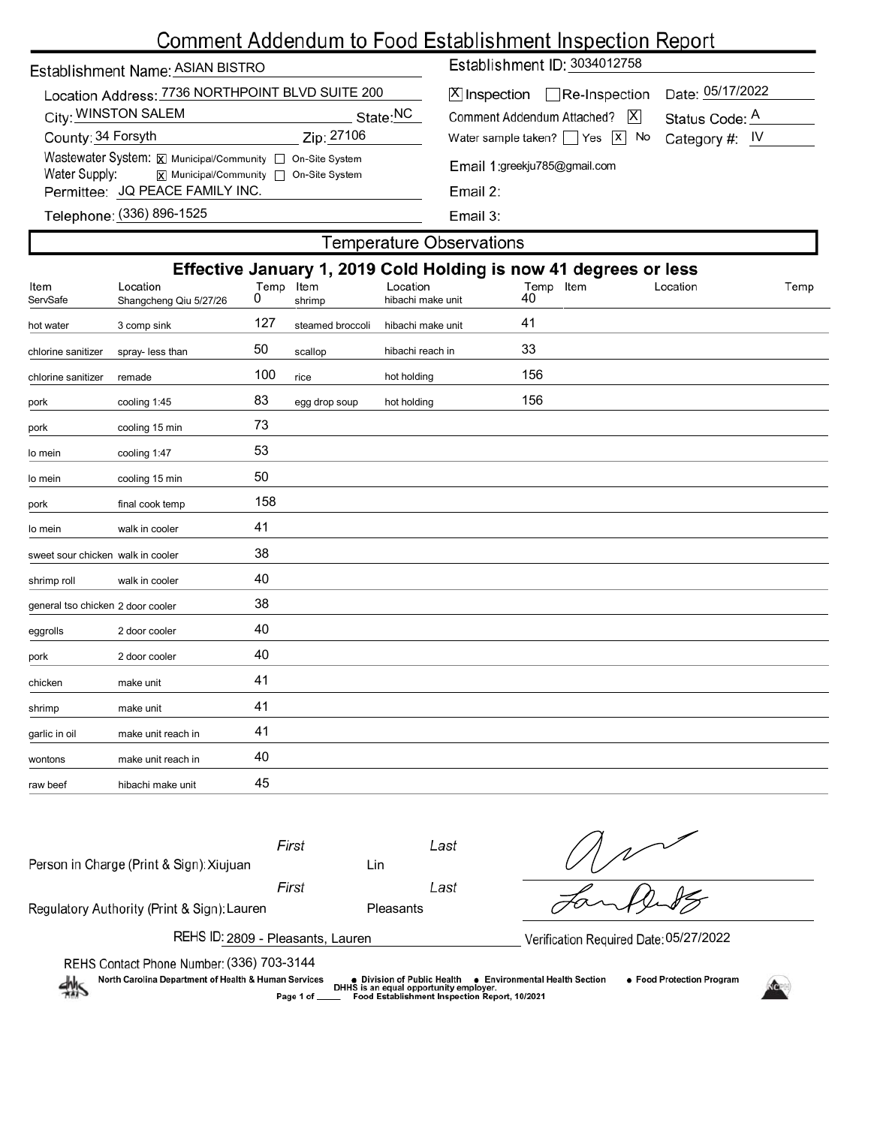# Comment Addendum to Food Establishment Inspection Report

| Establishment Name: ASIAN BISTRO |  |
|----------------------------------|--|
|                                  |  |

| Location Address: 7736 NORTHPOINT BLVD SUITE 200          |            |  |  |  |  |  |  |  |
|-----------------------------------------------------------|------------|--|--|--|--|--|--|--|
| City: WINSTON SALEM                                       | State:NC   |  |  |  |  |  |  |  |
| County: 34 Forsyth                                        | Zip: 27106 |  |  |  |  |  |  |  |
| Wastewater System: X Municipal/Community   On-Site System |            |  |  |  |  |  |  |  |
| Water Supply:<br> X  Municipal/Community   On-Site System |            |  |  |  |  |  |  |  |
| Permittee: JQ PEACE FAMILY INC.                           |            |  |  |  |  |  |  |  |
|                                                           |            |  |  |  |  |  |  |  |

Establishment ID: 3034012758

| X Inspection Re-Inspection Date: 05/17/2022             |                |  |  |  |  |  |  |  |  |  |
|---------------------------------------------------------|----------------|--|--|--|--|--|--|--|--|--|
| Comment Addendum Attached?   X                          | Status Code: A |  |  |  |  |  |  |  |  |  |
| Water sample taken? $\Box$ Yes $\Box$ No Category #: IV |                |  |  |  |  |  |  |  |  |  |
| Email 1:greekju785@gmail.com                            |                |  |  |  |  |  |  |  |  |  |

Email 3:

## Telephone: (336) 896-1525

raw beef hibachi make unit 45

| <b>Temperature Observations</b>                                                                                                                                                                                                      |                    |     |                  |                   |     |  |  |  |  |  |
|--------------------------------------------------------------------------------------------------------------------------------------------------------------------------------------------------------------------------------------|--------------------|-----|------------------|-------------------|-----|--|--|--|--|--|
| Effective January 1, 2019 Cold Holding is now 41 degrees or less<br>Location<br>Item<br>Location<br>Temp<br>Location<br>ltem<br>Temp<br>Item<br>Temp<br>40<br>0<br>ServSafe<br>Shangcheng Qiu 5/27/26<br>shrimp<br>hibachi make unit |                    |     |                  |                   |     |  |  |  |  |  |
| hot water                                                                                                                                                                                                                            | 3 comp sink        | 127 | steamed broccoli | hibachi make unit | 41  |  |  |  |  |  |
| chlorine sanitizer                                                                                                                                                                                                                   | spray- less than   | 50  | scallop          | hibachi reach in  | 33  |  |  |  |  |  |
| chlorine sanitizer                                                                                                                                                                                                                   | remade             | 100 | rice             | hot holding       | 156 |  |  |  |  |  |
| pork                                                                                                                                                                                                                                 | cooling 1:45       | 83  | egg drop soup    | hot holding       | 156 |  |  |  |  |  |
| pork                                                                                                                                                                                                                                 | cooling 15 min     | 73  |                  |                   |     |  |  |  |  |  |
| lo mein                                                                                                                                                                                                                              | cooling 1:47       | 53  |                  |                   |     |  |  |  |  |  |
| lo mein                                                                                                                                                                                                                              | cooling 15 min     | 50  |                  |                   |     |  |  |  |  |  |
| pork                                                                                                                                                                                                                                 | final cook temp    | 158 |                  |                   |     |  |  |  |  |  |
| lo mein                                                                                                                                                                                                                              | walk in cooler     | 41  |                  |                   |     |  |  |  |  |  |
| sweet sour chicken walk in cooler                                                                                                                                                                                                    |                    | 38  |                  |                   |     |  |  |  |  |  |
| shrimp roll                                                                                                                                                                                                                          | walk in cooler     | 40  |                  |                   |     |  |  |  |  |  |
| general tso chicken 2 door cooler                                                                                                                                                                                                    |                    | 38  |                  |                   |     |  |  |  |  |  |
| eggrolls                                                                                                                                                                                                                             | 2 door cooler      | 40  |                  |                   |     |  |  |  |  |  |
| pork                                                                                                                                                                                                                                 | 2 door cooler      | 40  |                  |                   |     |  |  |  |  |  |
| chicken                                                                                                                                                                                                                              | make unit          | 41  |                  |                   |     |  |  |  |  |  |
| shrimp                                                                                                                                                                                                                               | make unit          | 41  |                  |                   |     |  |  |  |  |  |
| garlic in oil                                                                                                                                                                                                                        | make unit reach in | 41  |                  |                   |     |  |  |  |  |  |
| wontons                                                                                                                                                                                                                              | make unit reach in | 40  |                  |                   |     |  |  |  |  |  |

| Person in Charge (Print & Sign): Xiujuan                                                                                                                                                               | First       | Lin       | Last                                          |  |  |  |  |  |  |
|--------------------------------------------------------------------------------------------------------------------------------------------------------------------------------------------------------|-------------|-----------|-----------------------------------------------|--|--|--|--|--|--|
|                                                                                                                                                                                                        | First       |           | Last                                          |  |  |  |  |  |  |
| Regulatory Authority (Print & Sign): Lauren                                                                                                                                                            |             | Pleasants |                                               |  |  |  |  |  |  |
| REHS ID: 2809 - Pleasants, Lauren<br>Verification Required Date: 05/27/2022                                                                                                                            |             |           |                                               |  |  |  |  |  |  |
| REHS Contact Phone Number: (336) 703-3144                                                                                                                                                              |             |           |                                               |  |  |  |  |  |  |
| North Carolina Department of Health & Human Services<br>• Food Protection Program<br>• Environmental Health Section<br>● Division of Public Health<br>DHHS is an equal opportunity employer.<br>$\sim$ |             |           |                                               |  |  |  |  |  |  |
|                                                                                                                                                                                                        | Page 1 of _ |           | Food Establishment Inspection Report, 10/2021 |  |  |  |  |  |  |